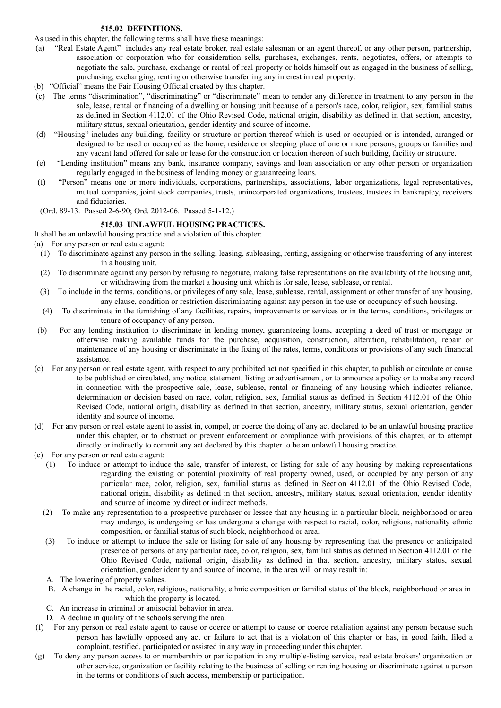## **515.02 DEFINITIONS.**

As used in this chapter, the following terms shall have these meanings:

- (a) "Real Estate Agent" includes any real estate broker, real estate salesman or an agent thereof, or any other person, partnership, association or corporation who for consideration sells, purchases, exchanges, rents, negotiates, offers, or attempts to negotiate the sale, purchase, exchange or rental of real property or holds himself out as engaged in the business of selling, purchasing, exchanging, renting or otherwise transferring any interest in real property.
- (b) "Official" means the Fair Housing Official created by this chapter.
- (c) The terms "discrimination", "discriminating" or "discriminate" mean to render any difference in treatment to any person in the sale, lease, rental or financing of a dwelling or housing unit because of a person's race, color, religion, sex, familial status as defined in Section 4112.01 of the Ohio Revised Code, national origin, disability as defined in that section, ancestry, military status, sexual orientation, gender identity and source of income.
- (d) "Housing" includes any building, facility or structure or portion thereof which is used or occupied or is intended, arranged or designed to be used or occupied as the home, residence or sleeping place of one or more persons, groups or families and any vacant land offered for sale or lease for the construction or location thereon of such building, facility or structure.
- (e) "Lending institution" means any bank, insurance company, savings and loan association or any other person or organization regularly engaged in the business of lending money or guaranteeing loans.
- (f) "Person" means one or more individuals, corporations, partnerships, associations, labor organizations, legal representatives, mutual companies, joint stock companies, trusts, unincorporated organizations, trustees, trustees in bankruptcy, receivers and fiduciaries.
- (Ord. 89-13. Passed 2-6-90; Ord. 2012-06. Passed 5-1-12.)

## **515.03 UNLAWFUL HOUSING PRACTICES.**

It shall be an unlawful housing practice and a violation of this chapter:

- (a) For any person or real estate agent:
	- (1) To discriminate against any person in the selling, leasing, subleasing, renting, assigning or otherwise transferring of any interest in a housing unit.
	- (2) To discriminate against any person by refusing to negotiate, making false representations on the availability of the housing unit, or withdrawing from the market a housing unit which is for sale, lease, sublease, or rental.
	- (3) To include in the terms, conditions, or privileges of any sale, lease, sublease, rental, assignment or other transfer of any housing, any clause, condition or restriction discriminating against any person in the use or occupancy of such housing.
	- (4) To discriminate in the furnishing of any facilities, repairs, improvements or services or in the terms, conditions, privileges or tenure of occupancy of any person.
- (b) For any lending institution to discriminate in lending money, guaranteeing loans, accepting a deed of trust or mortgage or otherwise making available funds for the purchase, acquisition, construction, alteration, rehabilitation, repair or maintenance of any housing or discriminate in the fixing of the rates, terms, conditions or provisions of any such financial assistance.
- (c) For any person or real estate agent, with respect to any prohibited act not specified in this chapter, to publish or circulate or cause to be published or circulated, any notice, statement, listing or advertisement, or to announce a policy or to make any record in connection with the prospective sale, lease, sublease, rental or financing of any housing which indicates reliance, determination or decision based on race, color, religion, sex, familial status as defined in Section 4112.01 of the Ohio Revised Code, national origin, disability as defined in that section, ancestry, military status, sexual orientation, gender identity and source of income.
- (d) For any person or real estate agent to assist in, compel, or coerce the doing of any act declared to be an unlawful housing practice under this chapter, or to obstruct or prevent enforcement or compliance with provisions of this chapter, or to attempt directly or indirectly to commit any act declared by this chapter to be an unlawful housing practice.
- (e) For any person or real estate agent:
	- (1) To induce or attempt to induce the sale, transfer of interest, or listing for sale of any housing by making representations regarding the existing or potential proximity of real property owned, used, or occupied by any person of any particular race, color, religion, sex, familial status as defined in Section 4112.01 of the Ohio Revised Code, national origin, disability as defined in that section, ancestry, military status, sexual orientation, gender identity and source of income by direct or indirect methods.
	- (2) To make any representation to a prospective purchaser or lessee that any housing in a particular block, neighborhood or area may undergo, is undergoing or has undergone a change with respect to racial, color, religious, nationality ethnic composition, or familial status of such block, neighborhood or area.
	- (3) To induce or attempt to induce the sale or listing for sale of any housing by representing that the presence or anticipated presence of persons of any particular race, color, religion, sex, familial status as defined in Section 4112.01 of the Ohio Revised Code, national origin, disability as defined in that section, ancestry, military status, sexual orientation, gender identity and source of income, in the area will or may result in:
	- A. The lowering of property values.
	- B. A change in the racial, color, religious, nationality, ethnic composition or familial status of the block, neighborhood or area in which the property is located.
	- C. An increase in criminal or antisocial behavior in area.
	- D. A decline in quality of the schools serving the area.
- (f) For any person or real estate agent to cause or coerce or attempt to cause or coerce retaliation against any person because such person has lawfully opposed any act or failure to act that is a violation of this chapter or has, in good faith, filed a complaint, testified, participated or assisted in any way in proceeding under this chapter.
- (g) To deny any person access to or membership or participation in any multiple-listing service, real estate brokers' organization or other service, organization or facility relating to the business of selling or renting housing or discriminate against a person in the terms or conditions of such access, membership or participation.